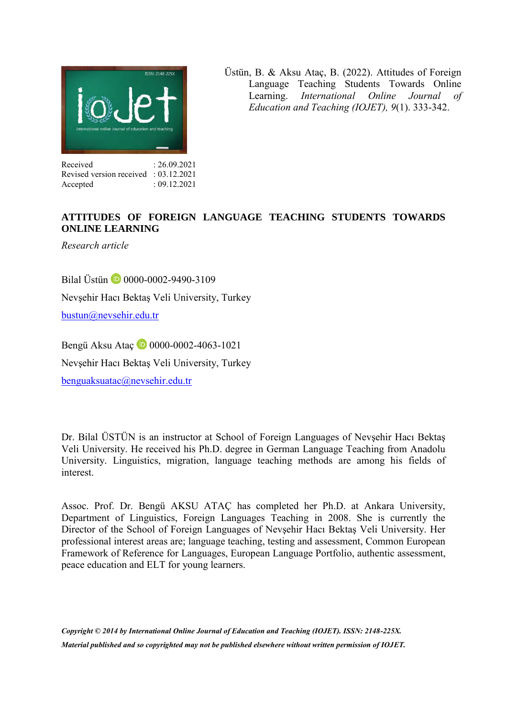

Üstün, B. & Aksu Ataç, B. (2022). Attitudes of Foreign Language Teaching Students Towards Online<br>Learning. *International Online Journal of* Learning. *International Online Journal of Education and Teaching (IOJET), 9*(1). 333-342.

#### Received : 26.09.2021 Revised version received : 03.12.2021 Accepted : 09.12.2021

# **ATTITUDES OF FOREIGN LANGUAGE TEACHING STUDENTS TOWARDS ONLINE LEARNING**

*Research article* 

Bilal Üstün **1** 0000-0002-9490-3109 Nevşehir Hacı Bektaş Veli University, Turkey [bustun@nevsehir.edu.tr](mailto:bustun@nevsehir.edu.tr)

BengüAksu Atac **D** 0000-0002-4063-1021 Nevşehir Hacı Bektaş Veli University, Turkey [benguaksuatac@nevsehir.edu.tr](mailto:benguaksuatac@nevsehir.edu.tr)

Dr. Bilal ÜSTÜN is an instructor at School of Foreign Languages of Nevşehir Hacı Bektaş Veli University. He received his Ph.D. degree in German Language Teaching from Anadolu University. Linguistics, migration, language teaching methods are among his fields of interest.

Assoc. Prof. Dr. Bengü AKSU ATAÇ has completed her Ph.D. at Ankara University, Department of Linguistics, Foreign Languages Teaching in 2008. She is currently the Director of the School of Foreign Languages of Nevşehir Hacı Bektaş Veli University. Her professional interest areas are; language teaching, testing and assessment, Common European Framework of Reference for Languages, European Language Portfolio, authentic assessment, peace education and ELT for young learners.

*Copyright © 2014 by International Online Journal of Education and Teaching (IOJET). ISSN: 2148-225X. Material published and so copyrighted may not be published elsewhere without written permission of IOJET.*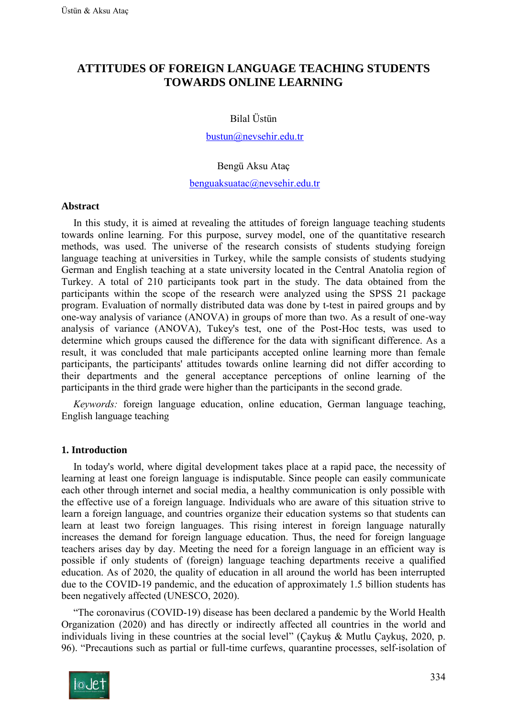# **ATTITUDES OF FOREIGN LANGUAGE TEACHING STUDENTS TOWARDS ONLINE LEARNING**

### Bilal Üstün

# [bustun@nevsehir.edu.tr](mailto:bustun@nevsehir.edu.tr)

#### Bengü Aksu Ataç

#### [benguaksuatac@nevsehir.edu.tr](mailto:benguaksuatac@nevsehir.edu.tr)

#### **Abstract**

In this study, it is aimed at revealing the attitudes of foreign language teaching students towards online learning. For this purpose, survey model, one of the quantitative research methods, was used. The universe of the research consists of students studying foreign language teaching at universities in Turkey, while the sample consists of students studying German and English teaching at a state university located in the Central Anatolia region of Turkey. A total of 210 participants took part in the study. The data obtained from the participants within the scope of the research were analyzed using the SPSS 21 package program. Evaluation of normally distributed data was done by t-test in paired groups and by one-way analysis of variance (ANOVA) in groups of more than two. As a result of one-way analysis of variance (ANOVA), Tukey's test, one of the Post-Hoc tests, was used to determine which groups caused the difference for the data with significant difference. As a result, it was concluded that male participants accepted online learning more than female participants, the participants' attitudes towards online learning did not differ according to their departments and the general acceptance perceptions of online learning of the participants in the third grade were higher than the participants in the second grade.

*Keywords:* foreign language education, online education, German language teaching, English language teaching

### **1. Introduction**

In today's world, where digital development takes place at a rapid pace, the necessity of learning at least one foreign language is indisputable. Since people can easily communicate each other through internet and social media, a healthy communication is only possible with the effective use of a foreign language. Individuals who are aware of this situation strive to learn a foreign language, and countries organize their education systems so that students can learn at least two foreign languages. This rising interest in foreign language naturally increases the demand for foreign language education. Thus, the need for foreign language teachers arises day by day. Meeting the need for a foreign language in an efficient way is possible if only students of (foreign) language teaching departments receive a qualified education. As of 2020, the quality of education in all around the world has been interrupted due to the COVID-19 pandemic, and the education of approximately 1.5 billion students has been negatively affected (UNESCO, 2020).

"The coronavirus (COVID-19) disease has been declared a pandemic by the World Health Organization (2020) and has directly or indirectly affected all countries in the world and individuals living in these countries at the social level" (Çaykuş & Mutlu Çaykuş, 2020, p. 96). "Precautions such as partial or full-time curfews, quarantine processes, self-isolation of

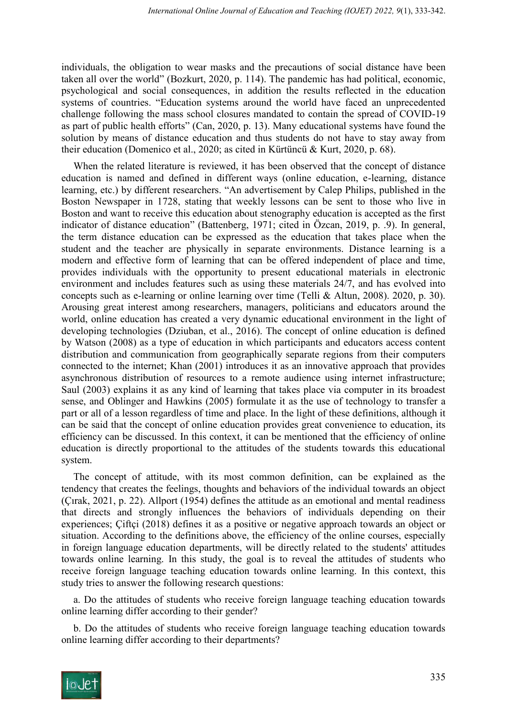individuals, the obligation to wear masks and the precautions of social distance have been taken all over the world" (Bozkurt, 2020, p. 114). The pandemic has had political, economic, psychological and social consequences, in addition the results reflected in the education systems of countries. "Education systems around the world have faced an unprecedented challenge following the mass school closures mandated to contain the spread of COVID-19 as part of public health efforts" (Can, 2020, p. 13). Many educational systems have found the solution by means of distance education and thus students do not have to stay away from their education (Domenico et al., 2020; as cited in Kürtüncü & Kurt, 2020, p. 68).

When the related literature is reviewed, it has been observed that the concept of distance education is named and defined in different ways (online education, e-learning, distance learning, etc.) by different researchers. "An advertisement by Calep Philips, published in the Boston Newspaper in 1728, stating that weekly lessons can be sent to those who live in Boston and want to receive this education about stenography education is accepted as the first indicator of distance education" (Battenberg, 1971; cited in Özcan, 2019, p. .9). In general, the term distance education can be expressed as the education that takes place when the student and the teacher are physically in separate environments. Distance learning is a modern and effective form of learning that can be offered independent of place and time, provides individuals with the opportunity to present educational materials in electronic environment and includes features such as using these materials 24/7, and has evolved into concepts such as e-learning or online learning over time (Telli & Altun, 2008). 2020, p. 30). Arousing great interest among researchers, managers, politicians and educators around the world, online education has created a very dynamic educational environment in the light of developing technologies (Dziuban, et al., 2016). The concept of online education is defined by Watson (2008) as a type of education in which participants and educators access content distribution and communication from geographically separate regions from their computers connected to the internet; Khan (2001) introduces it as an innovative approach that provides asynchronous distribution of resources to a remote audience using internet infrastructure; Saul (2003) explains it as any kind of learning that takes place via computer in its broadest sense, and Oblinger and Hawkins (2005) formulate it as the use of technology to transfer a part or all of a lesson regardless of time and place. In the light of these definitions, although it can be said that the concept of online education provides great convenience to education, its efficiency can be discussed. In this context, it can be mentioned that the efficiency of online education is directly proportional to the attitudes of the students towards this educational system.

The concept of attitude, with its most common definition, can be explained as the tendency that creates the feelings, thoughts and behaviors of the individual towards an object (Çırak, 2021, p. 22). Allport (1954) defines the attitude as an emotional and mental readiness that directs and strongly influences the behaviors of individuals depending on their experiences; Çiftçi (2018) defines it as a positive or negative approach towards an object or situation. According to the definitions above, the efficiency of the online courses, especially in foreign language education departments, will be directly related to the students' attitudes towards online learning. In this study, the goal is to reveal the attitudes of students who receive foreign language teaching education towards online learning. In this context, this study tries to answer the following research questions:

a. Do the attitudes of students who receive foreign language teaching education towards online learning differ according to their gender?

b. Do the attitudes of students who receive foreign language teaching education towards online learning differ according to their departments?

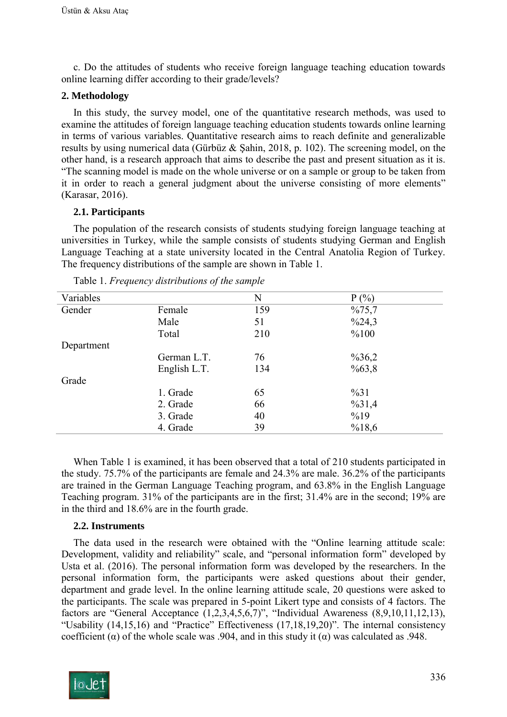c. Do the attitudes of students who receive foreign language teaching education towards online learning differ according to their grade/levels?

# **2. Methodology**

In this study, the survey model, one of the quantitative research methods, was used to examine the attitudes of foreign language teaching education students towards online learning in terms of various variables. Quantitative research aims to reach definite and generalizable results by using numerical data (Gürbüz & Şahin, 2018, p. 102). The screening model, on the other hand, is a research approach that aims to describe the past and present situation as it is. "The scanning model is made on the whole universe or on a sample or group to be taken from it in order to reach a general judgment about the universe consisting of more elements" (Karasar, 2016).

# **2.1. Participants**

The population of the research consists of students studying foreign language teaching at universities in Turkey, while the sample consists of students studying German and English Language Teaching at a state university located in the Central Anatolia Region of Turkey. The frequency distributions of the sample are shown in Table 1.

| Variables  |              | N   | P(%)              |
|------------|--------------|-----|-------------------|
| Gender     | Female       | 159 | %75,7             |
|            | Male         | 51  | $\frac{624,3}{ }$ |
|            | Total        | 210 | %100              |
| Department |              |     |                   |
|            | German L.T.  | 76  | $\%36,2$          |
|            | English L.T. | 134 | %63,8             |
| Grade      |              |     |                   |
|            | 1. Grade     | 65  | $\frac{9}{631}$   |
|            | 2. Grade     | 66  | $\%31,4$          |
|            | 3. Grade     | 40  | %19               |
|            | 4. Grade     | 39  | %18,6             |

Table 1. *Frequency distributions of the sample*

When Table 1 is examined, it has been observed that a total of 210 students participated in the study. 75.7% of the participants are female and 24.3% are male. 36.2% of the participants are trained in the German Language Teaching program, and 63.8% in the English Language Teaching program. 31% of the participants are in the first; 31.4% are in the second; 19% are in the third and 18.6% are in the fourth grade.

### **2.2. Instruments**

The data used in the research were obtained with the "Online learning attitude scale: Development, validity and reliability" scale, and "personal information form" developed by Usta et al. (2016). The personal information form was developed by the researchers. In the personal information form, the participants were asked questions about their gender, department and grade level. In the online learning attitude scale, 20 questions were asked to the participants. The scale was prepared in 5-point Likert type and consists of 4 factors. The factors are "General Acceptance  $(1,2,3,4,5,6,7)$ ", "Individual Awareness  $(8,9,10,11,12,13)$ , "Usability (14,15,16) and "Practice" Effectiveness (17,18,19,20)". The internal consistency coefficient ( $\alpha$ ) of the whole scale was .904, and in this study it ( $\alpha$ ) was calculated as .948.

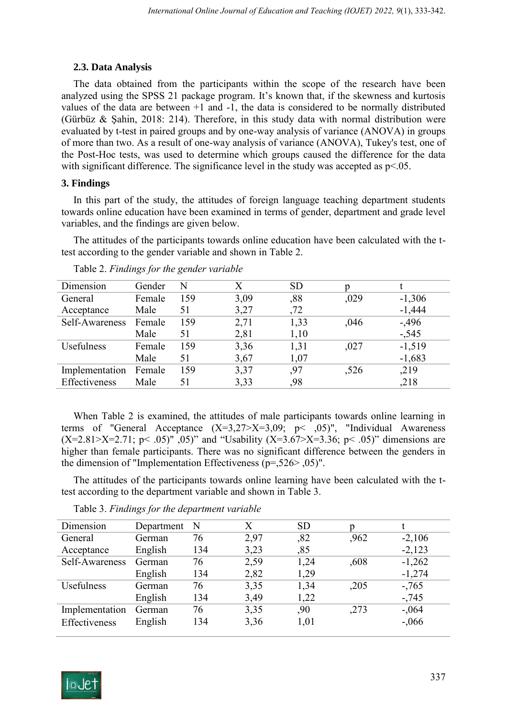## **2.3. Data Analysis**

The data obtained from the participants within the scope of the research have been analyzed using the SPSS 21 package program. It's known that, if the skewness and kurtosis values of the data are between +1 and -1, the data is considered to be normally distributed (Gürbüz & Şahin, 2018: 214). Therefore, in this study data with normal distribution were evaluated by t-test in paired groups and by one-way analysis of variance (ANOVA) in groups of more than two. As a result of one-way analysis of variance (ANOVA), Tukey's test, one of the Post-Hoc tests, was used to determine which groups caused the difference for the data with significant difference. The significance level in the study was accepted as  $p<05$ .

# **3. Findings**

In this part of the study, the attitudes of foreign language teaching department students towards online education have been examined in terms of gender, department and grade level variables, and the findings are given below.

The attitudes of the participants towards online education have been calculated with the ttest according to the gender variable and shown in Table 2.

| Dimension      | Gender | N   | $\rm\overline{X}$ | <b>SD</b> |      |          |
|----------------|--------|-----|-------------------|-----------|------|----------|
| General        | Female | 159 | 3,09              | ,88       | ,029 | $-1,306$ |
| Acceptance     | Male   | 51  | 3,27              | ,72       |      | $-1,444$ |
| Self-Awareness | Female | 159 | 2,71              | 1,33      | ,046 | $-0.496$ |
|                | Male   | 51  | 2,81              | 1,10      |      | $-545$   |
| Usefulness     | Female | 159 | 3,36              | 1,31      | ,027 | $-1,519$ |
|                | Male   | 51  | 3,67              | 1,07      |      | $-1,683$ |
| Implementation | Female | 159 | 3,37              | .97       | .526 | ,219     |
| Effectiveness  | Male   | 51  | 3,33              | ,98       |      | ,218     |

Table 2. *Findings for the gender variable*

When Table 2 is examined, the attitudes of male participants towards online learning in terms of "General Acceptance  $(X=3,27 \ge X=3,09; \ p \le .05)$ ", "Individual Awareness  $(X=2.81> X=2.71; p< .05)$ ",  $(0.05)$ " and "Usability  $(X=3.67> X=3.36; p< .05)$ " dimensions are higher than female participants. There was no significant difference between the genders in the dimension of "Implementation Effectiveness (p=,526> ,05)".

The attitudes of the participants towards online learning have been calculated with the ttest according to the department variable and shown in Table 3.

| Dimension         | Department | N   | X    | <b>SD</b> |      |          |
|-------------------|------------|-----|------|-----------|------|----------|
| General           | German     | 76  | 2,97 | ,82       | ,962 | $-2,106$ |
| Acceptance        | English    | 134 | 3,23 | ,85       |      | $-2,123$ |
| Self-Awareness    | German     | 76  | 2,59 | 1,24      | ,608 | $-1,262$ |
|                   | English    | 134 | 2,82 | 1,29      |      | $-1,274$ |
| <b>Usefulness</b> | German     | 76  | 3,35 | 1,34      | ,205 | $-765$   |
|                   | English    | 134 | 3,49 | 1,22      |      | $-745$   |
| Implementation    | German     | 76  | 3,35 | .90       | ,273 | $-.064$  |
| Effectiveness     | English    | 134 | 3,36 | 1,01      |      | $-0.066$ |

Table 3. *Findings for the department variable*

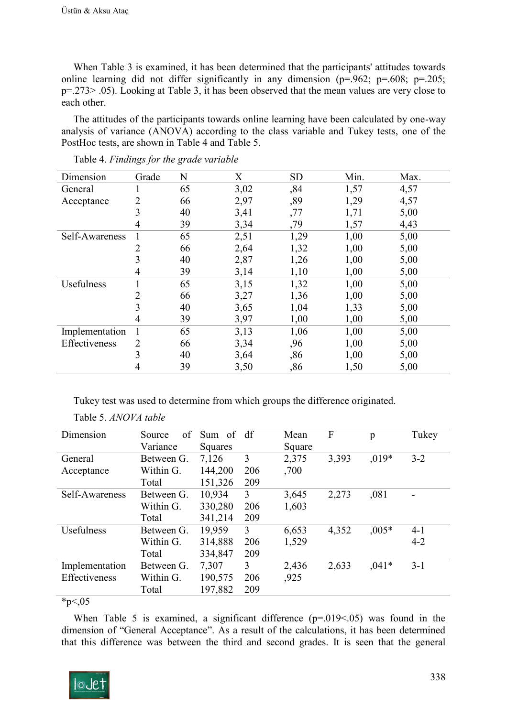When Table 3 is examined, it has been determined that the participants' attitudes towards online learning did not differ significantly in any dimension ( $p=0.962$ ;  $p=.608$ ;  $p=.205$ ; p=.273> .05). Looking at Table 3, it has been observed that the mean values are very close to each other.

The attitudes of the participants towards online learning have been calculated by one-way analysis of variance (ANOVA) according to the class variable and Tukey tests, one of the PostHoc tests, are shown in Table 4 and Table 5.

| Dimension      | Grade | N  | X    | <b>SD</b> | Min. | Max. |
|----------------|-------|----|------|-----------|------|------|
| General        |       | 65 | 3,02 | ,84       | 1,57 | 4,57 |
| Acceptance     | 2     | 66 | 2,97 | ,89       | 1,29 | 4,57 |
|                | 3     | 40 | 3,41 | ,77       | 1,71 | 5,00 |
|                | 4     | 39 | 3,34 | ,79       | 1,57 | 4,43 |
| Self-Awareness |       | 65 | 2,51 | 1,29      | 1,00 | 5,00 |
|                | 2     | 66 | 2,64 | 1,32      | 1,00 | 5,00 |
|                | 3     | 40 | 2,87 | 1,26      | 1,00 | 5,00 |
|                | 4     | 39 | 3,14 | 1,10      | 1,00 | 5,00 |
| Usefulness     |       | 65 | 3,15 | 1,32      | 1,00 | 5,00 |
|                | 2     | 66 | 3,27 | 1,36      | 1,00 | 5,00 |
|                | 3     | 40 | 3,65 | 1,04      | 1,33 | 5,00 |
|                | 4     | 39 | 3,97 | 1,00      | 1,00 | 5,00 |
| Implementation | 1     | 65 | 3,13 | 1,06      | 1,00 | 5,00 |
| Effectiveness  | 2     | 66 | 3,34 | ,96       | 1,00 | 5,00 |
|                | 3     | 40 | 3,64 | ,86       | 1,00 | 5,00 |
|                | 4     | 39 | 3,50 | ,86       | 1,50 | 5,00 |

Table 4. *Findings for the grade variable*

Tukey test was used to determine from which groups the difference originated.

| Dimension         | of<br>Source | Sum of  | df             | Mean   | F     | p       | Tukey   |
|-------------------|--------------|---------|----------------|--------|-------|---------|---------|
|                   | Variance     | Squares |                | Square |       |         |         |
| General           | Between G.   | 7,126   | 3              | 2,375  | 3,393 | $,019*$ | $3 - 2$ |
| Acceptance        | Within G.    | 144,200 | 206            | ,700   |       |         |         |
|                   | Total        | 151,326 | 209            |        |       |         |         |
| Self-Awareness    | Between G.   | 10,934  | 3              | 3,645  | 2,273 | ,081    |         |
|                   | Within G.    | 330,280 | 206            | 1,603  |       |         |         |
|                   | Total        | 341,214 | 209            |        |       |         |         |
| <b>Usefulness</b> | Between G.   | 19,959  | $\overline{3}$ | 6,653  | 4,352 | $,005*$ | $4-1$   |
|                   | Within G.    | 314,888 | 206            | 1,529  |       |         | $4 - 2$ |
|                   | Total        | 334,847 | 209            |        |       |         |         |
| Implementation    | Between G.   | 7,307   | 3              | 2,436  | 2,633 | $,041*$ | $3 - 1$ |
| Effectiveness     | Within G.    | 190,575 | 206            | ,925   |       |         |         |
|                   | Total        | 197,882 | 209            |        |       |         |         |

 $*_{p<,05}$ 

When Table 5 is examined, a significant difference (p=.019<.05) was found in the dimension of "General Acceptance". As a result of the calculations, it has been determined that this difference was between the third and second grades. It is seen that the general

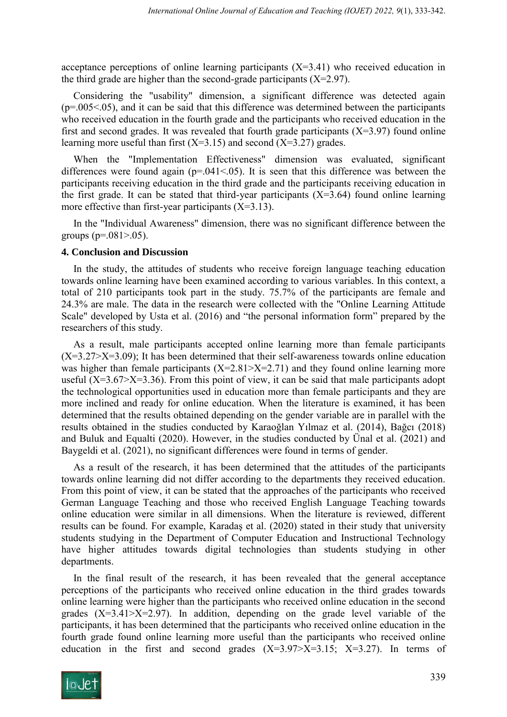acceptance perceptions of online learning participants  $(X=3.41)$  who received education in the third grade are higher than the second-grade participants  $(X=2.97)$ .

Considering the "usability" dimension, a significant difference was detected again  $(p=0.005<0.05)$ , and it can be said that this difference was determined between the participants who received education in the fourth grade and the participants who received education in the first and second grades. It was revealed that fourth grade participants  $(X=3.97)$  found online learning more useful than first  $(X=3.15)$  and second  $(X=3.27)$  grades.

When the "Implementation Effectiveness" dimension was evaluated, significant differences were found again ( $p=.041<.05$ ). It is seen that this difference was between the participants receiving education in the third grade and the participants receiving education in the first grade. It can be stated that third-year participants  $(X=3.64)$  found online learning more effective than first-year participants  $(X=3.13)$ .

In the "Individual Awareness" dimension, there was no significant difference between the groups ( $p=.081-.05$ ).

#### **4. Conclusion and Discussion**

In the study, the attitudes of students who receive foreign language teaching education towards online learning have been examined according to various variables. In this context, a total of 210 participants took part in the study. 75.7% of the participants are female and 24.3% are male. The data in the research were collected with the "Online Learning Attitude Scale" developed by Usta et al. (2016) and "the personal information form" prepared by the researchers of this study.

As a result, male participants accepted online learning more than female participants  $(X=3.27> X=3.09)$ ; It has been determined that their self-awareness towards online education was higher than female participants  $(X=2.81> X=2.71)$  and they found online learning more useful  $(X=3.67 \ge X=3.36)$ . From this point of view, it can be said that male participants adopt the technological opportunities used in education more than female participants and they are more inclined and ready for online education. When the literature is examined, it has been determined that the results obtained depending on the gender variable are in parallel with the results obtained in the studies conducted by Karaoğlan Yılmaz et al. (2014), Bağcı (2018) and Buluk and Equalti (2020). However, in the studies conducted by Ünal et al. (2021) and Baygeldi et al. (2021), no significant differences were found in terms of gender.

As a result of the research, it has been determined that the attitudes of the participants towards online learning did not differ according to the departments they received education. From this point of view, it can be stated that the approaches of the participants who received German Language Teaching and those who received English Language Teaching towards online education were similar in all dimensions. When the literature is reviewed, different results can be found. For example, Karadaş et al. (2020) stated in their study that university students studying in the Department of Computer Education and Instructional Technology have higher attitudes towards digital technologies than students studying in other departments.

In the final result of the research, it has been revealed that the general acceptance perceptions of the participants who received online education in the third grades towards online learning were higher than the participants who received online education in the second grades  $(X=3.41> X=2.97)$ . In addition, depending on the grade level variable of the participants, it has been determined that the participants who received online education in the fourth grade found online learning more useful than the participants who received online education in the first and second grades  $(X=3.97> X=3.15; X=3.27)$ . In terms of

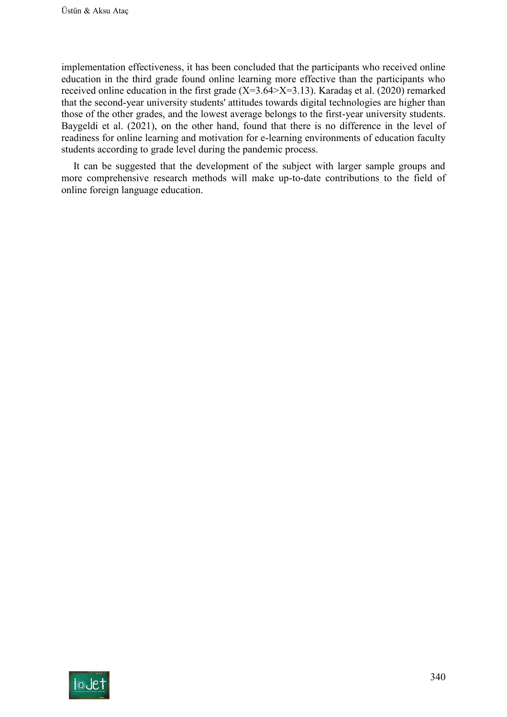implementation effectiveness, it has been concluded that the participants who received online education in the third grade found online learning more effective than the participants who received online education in the first grade  $(X=3.64 > X=3.13)$ . Karadaş et al. (2020) remarked that the second-year university students' attitudes towards digital technologies are higher than those of the other grades, and the lowest average belongs to the first-year university students. Baygeldi et al. (2021), on the other hand, found that there is no difference in the level of readiness for online learning and motivation for e-learning environments of education faculty students according to grade level during the pandemic process.

It can be suggested that the development of the subject with larger sample groups and more comprehensive research methods will make up-to-date contributions to the field of online foreign language education.

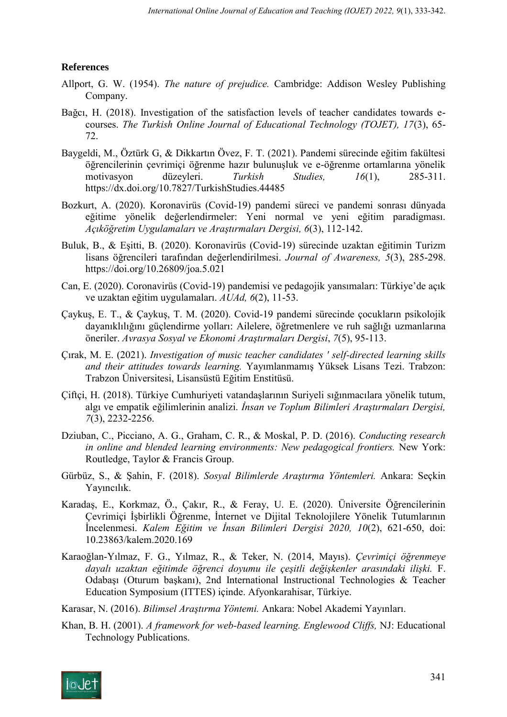# **References**

- Allport, G. W. (1954). *The nature of prejudice.* Cambridge: Addison Wesley Publishing Company.
- Bağcı, H. (2018). Investigation of the satisfaction levels of teacher candidates towards ecourses. *The Turkish Online Journal of Educational Technology (TOJET), 17*(3), 65- 72.
- Baygeldi, M., Öztürk G, & Dikkartın Övez, F. T. (2021). Pandemi sürecinde eğitim fakültesi öğrencilerinin çevrimiçi öğrenme hazır bulunuşluk ve e-öğrenme ortamlarına yönelik motivasyon düzeyleri. *Turkish Studies, 16*(1), 285-311. https://dx.doi.org/10.7827/TurkishStudies.44485
- Bozkurt, A. (2020). Koronavirüs (Covid-19) pandemi süreci ve pandemi sonrası dünyada eğitime yönelik değerlendirmeler: Yeni normal ve yeni eğitim paradigması. *Açıköğretim Uygulamaları ve Araştırmaları Dergisi, 6*(3), 112-142.
- Buluk, B., & Eşitti, B. (2020). Koronavirüs (Covid-19) sürecinde uzaktan eğitimin Turizm lisans öğrencileri tarafından değerlendirilmesi. *Journal of Awareness, 5*(3), 285-298. https://doi.org/10.26809/joa.5.021
- Can, E. (2020). Coronavirüs (Covid-19) pandemisi ve pedagojik yansımaları: Türkiye'de açık ve uzaktan eğitim uygulamaları. *AUAd, 6*(2), 11-53.
- Çaykuş, E. T., & Çaykuş, T. M. (2020). Covid-19 pandemi sürecinde çocukların psikolojik dayanıklılığını güçlendirme yolları: Ailelere, öğretmenlere ve ruh sağlığı uzmanlarına öneriler. *Avrasya Sosyal ve Ekonomi Araştırmaları Dergisi*, *7*(5), 95-113.
- Çırak, M. E. (2021). *Investigation of music teacher candidates ' self-directed learning skills and their attitudes towards learning.* Yayımlanmamış Yüksek Lisans Tezi. Trabzon: Trabzon Üniversitesi, Lisansüstü Eğitim Enstitüsü.
- Çiftçi, H. (2018). Türkiye Cumhuriyeti vatandaşlarının Suriyeli sığınmacılara yönelik tutum, algı ve empatik eğilimlerinin analizi. *İnsan ve Toplum Bilimleri Araştırmaları Dergisi, 7*(3), 2232-2256.
- Dziuban, C., Picciano, A. G., Graham, C. R., & Moskal, P. D. (2016). *Conducting research in online and blended learning environments: New pedagogical frontiers.* New York: Routledge, Taylor & Francis Group.
- Gürbüz, S., & Şahin, F. (2018). *Sosyal Bilimlerde Araştırma Yöntemleri.* Ankara: Seçkin Yayıncılık.
- Karadaş, E., Korkmaz, Ö., Çakır, R., & Feray, U. E. (2020). Üniversite Öğrencilerinin Çevrimiçi İşbirlikli Öğrenme, İnternet ve Dijital Teknolojilere Yönelik Tutumlarının İncelenmesi. *Kalem Eğitim ve İnsan Bilimleri Dergisi 2020, 10*(2), 621-650, doi: 10.23863/kalem.2020.169
- Karaoğlan-Yılmaz, F. G., Yılmaz, R., & Teker, N. (2014, Mayıs). *Çevrimiçi öğrenmeye dayalı uzaktan eğitimde öğrenci doyumu ile çeşitli değişkenler arasındaki ilişki.* F. Odabaşı (Oturum başkanı), 2nd International Instructional Technologies & Teacher Education Symposium (ITTES) içinde. Afyonkarahisar, Türkiye.
- Karasar, N. (2016). *Bilimsel Araştırma Yöntemi.* Ankara: Nobel Akademi Yayınları.
- Khan, B. H. (2001). *A framework for web-based learning. Englewood Cliffs,* NJ: Educational Technology Publications.